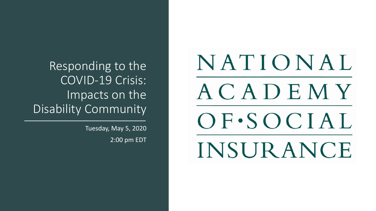### Responding to the COVID-19 Crisis: Impacts on the Disability Community

Tuesday, May 5, 2020 2:00 pm EDT

NATIONAL ACADEMY OF·SOCIAL **INSURANCE**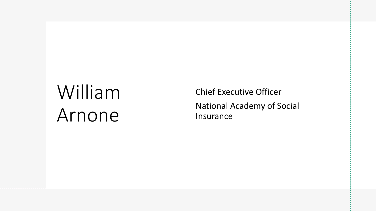# William Arnone

Chief Executive Officer National Academy of Social Insurance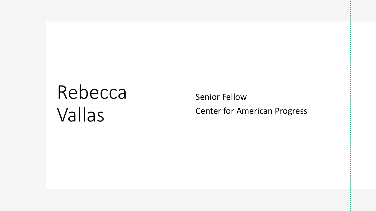# Rebecca Vallas

Senior Fellow Center for American Progress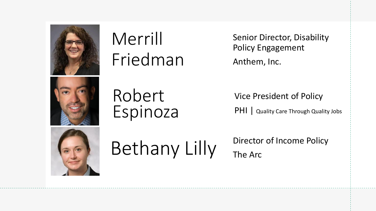

## Merrill Friedman

Robert

Espinoza

Senior Director, Disability Policy Engagement Anthem, Inc.

Vice President of Policy

PHI | Quality Care Through Quality Jobs



# Bethany Lilly Director of Income Policy

The Arc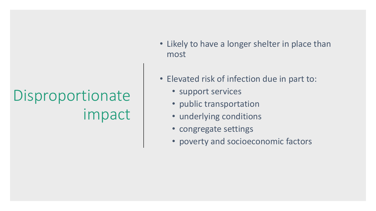# Disproportionate impact

- Likely to have a longer shelter in place than most
- Elevated risk of infection due in part to:
	- support services
	- public transportation
	- underlying conditions
	- congregate settings
	- poverty and socioeconomic factors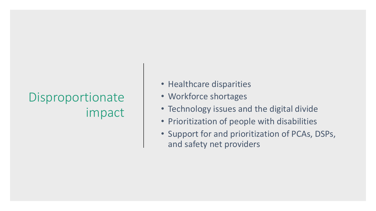## Disproportionate impact

- Healthcare disparities
- Workforce shortages
- Technology issues and the digital divide
- Prioritization of people with disabilities
- Support for and prioritization of PCAs, DSPs, and safety net providers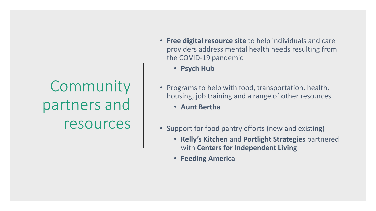Community partners and resources

- **Free digital resource site** to help individuals and care providers address mental health needs resulting from the COVID-19 pandemic
	- **Psych Hub**
- Programs to help with food, transportation, health, housing, job training and a range of other resources
	- **Aunt Bertha**
- Support for food pantry efforts (new and existing)
	- **Kelly's Kitchen** and **Portlight Strategies** partnered with **Centers for Independent Living**
	- **Feeding America**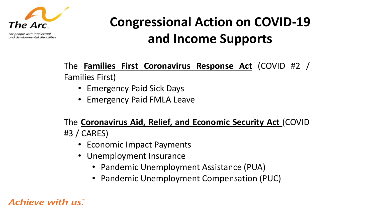

For people with intellectual and developmental disabilities

## **Congressional Action on COVID-19 and Income Supports**

The **Families First Coronavirus Response Act** (COVID #2 / Families First)

- Emergency Paid Sick Days
- Emergency Paid FMLA Leave

The **Coronavirus Aid, Relief, and Economic Security Act** (COVID #3 / CARES)

- Economic Impact Payments
- Unemployment Insurance
	- Pandemic Unemployment Assistance (PUA)
	- Pandemic Unemployment Compensation (PUC)

### Achieve with us.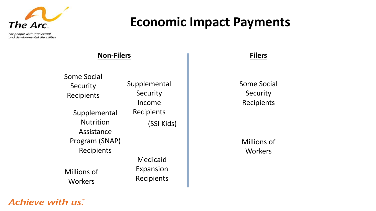

**Economic Impact Payments**

For people with intellectual and developmental disabilities

### **Non-Filers**

Some Social **Security** Recipients

> Supplemental Recipients **Nutrition** Assistance Program (SNAP) Recipients

Millions of **Workers** 

Supplemental **Security** Income (SSI Kids)

> Medicaid Expansion Recipients

#### **Filers**

Some Social **Security** Recipients

Millions of **Workers** 

### **Achieve with us.**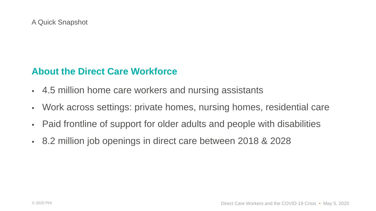### **About the Direct Care Workforce**

- 4.5 million home care workers and nursing assistants
- Work across settings: private homes, nursing homes, residential care
- Paid frontline of support for older adults and people with disabilities
- 8.2 million job openings in direct care between 2018 & 2028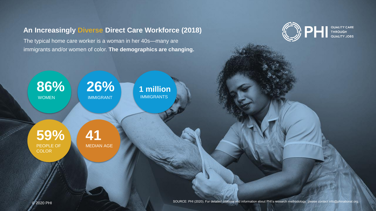#### **An Increasingly Diverse Direct Care Workforce (2018)**

The typical home care worker is a woman in her 40s—many are immigrants and/or women of color. **The demographics are changing.**



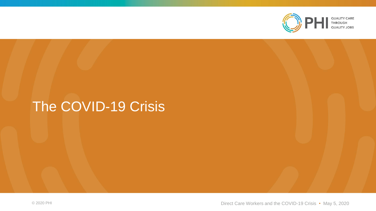

### The COVID-19 Crisis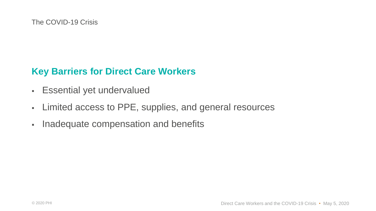### **Key Barriers for Direct Care Workers**

- Essential yet undervalued
- Limited access to PPE, supplies, and general resources
- Inadequate compensation and benefits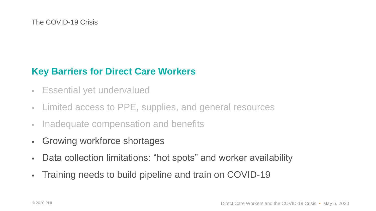### **Key Barriers for Direct Care Workers**

- Essential yet undervalued
- Limited access to PPE, supplies, and general resources
- **Inadequate compensation and benefits**
- Growing workforce shortages
- Data collection limitations: "hot spots" and worker availability
- Training needs to build pipeline and train on COVID-19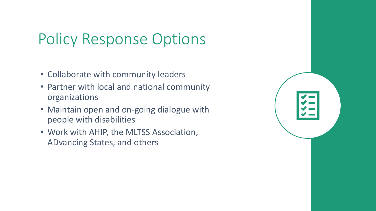## Policy Response Options

- Collaborate with community leaders
- Partner with local and national community organizations
- Maintain open and on-going dialogue with people with disabilities
- Work with AHIP, the MLTSS Association, ADvancing States, and others

| **** |  |
|------|--|
|      |  |
|      |  |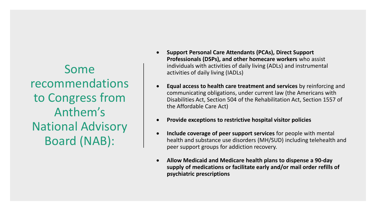Some recommendations to Congress from Anthem's National Advisory Board (NAB):

- **Support Personal Care Attendants (PCAs), Direct Support Professionals (DSPs), and other homecare workers** who assist individuals with activities of daily living (ADLs) and instrumental activities of daily living (IADLs)
- **Equal access to health care treatment and services** by reinforcing and communicating obligations, under current law (the Americans with Disabilities Act, Section 504 of the Rehabilitation Act, Section 1557 of the Affordable Care Act)
- **Provide exceptions to restrictive hospital visitor policies**
- **Include coverage of peer support services** for people with mental health and substance use disorders (MH/SUD) including telehealth and peer support groups for addiction recovery.
- **Allow Medicaid and Medicare health plans to dispense a 90-day supply of medications or facilitate early and/or mail order refills of psychiatric prescriptions**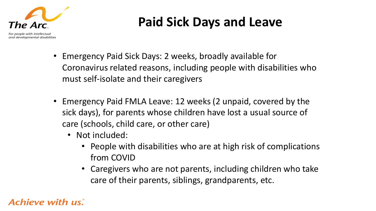

## **Paid Sick Days and Leave**

- Emergency Paid Sick Days: 2 weeks, broadly available for Coronavirus related reasons, including people with disabilities who must self-isolate and their caregivers
- Emergency Paid FMLA Leave: 12 weeks (2 unpaid, covered by the sick days), for parents whose children have lost a usual source of care (schools, child care, or other care)
	- Not included:
		- People with disabilities who are at high risk of complications from COVID
		- Caregivers who are not parents, including children who take care of their parents, siblings, grandparents, etc.

### Achieve with us.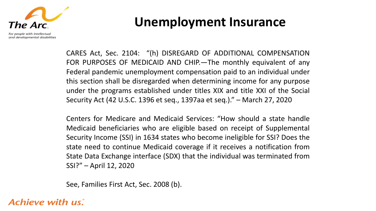

**Unemployment Insurance**

CARES Act, Sec. 2104: "(h) DISREGARD OF ADDITIONAL COMPENSATION FOR PURPOSES OF MEDICAID AND CHIP.—The monthly equivalent of any Federal pandemic unemployment compensation paid to an individual under this section shall be disregarded when determining income for any purpose under the programs established under titles XIX and title XXI of the Social Security Act (42 U.S.C. 1396 et seq., 1397aa et seq.)." – March 27, 2020

Centers for Medicare and Medicaid Services: "How should a state handle Medicaid beneficiaries who are eligible based on receipt of Supplemental Security Income (SSI) in 1634 states who become ineligible for SSI? Does the state need to continue Medicaid coverage if it receives a notification from State Data Exchange interface (SDX) that the individual was terminated from SSI?" – April 12, 2020

See, Families First Act, Sec. 2008 (b).

Achieve with us.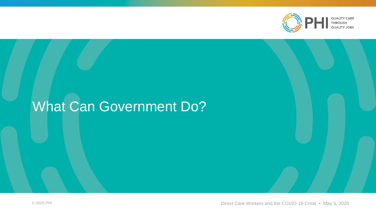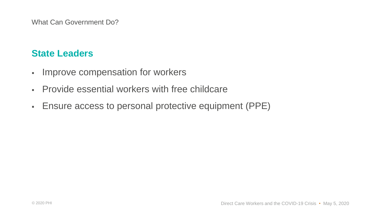### **State Leaders**

- Improve compensation for workers
- Provide essential workers with free childcare
- Ensure access to personal protective equipment (PPE)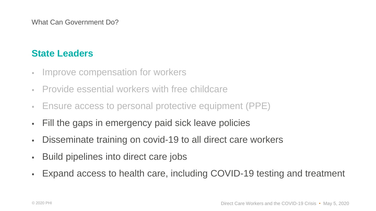### **State Leaders**

- **Improve compensation for workers**
- Provide essential workers with free childcare
- Ensure access to personal protective equipment (PPE)
- Fill the gaps in emergency paid sick leave policies
- Disseminate training on covid-19 to all direct care workers
- **Build pipelines into direct care jobs**
- **Expand access to health care, including COVID-19 testing and treatment**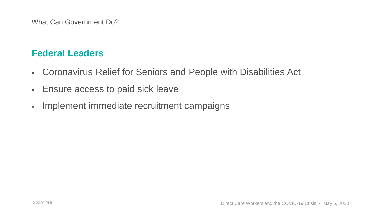### **Federal Leaders**

- Coronavirus Relief for Seniors and People with Disabilities Act
- **Ensure access to paid sick leave**
- **· Implement immediate recruitment campaigns**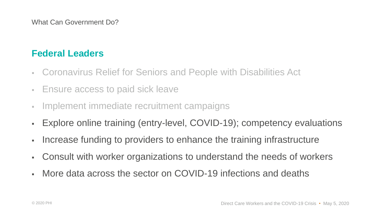### **Federal Leaders**

- Coronavirus Relief for Seniors and People with Disabilities Act
- **Ensure access to paid sick leave**
- **Implement immediate recruitment campaigns**
- **Explore online training (entry-level, COVID-19); competency evaluations**
- Increase funding to providers to enhance the training infrastructure
- Consult with worker organizations to understand the needs of workers
- More data across the sector on COVID-19 infections and deaths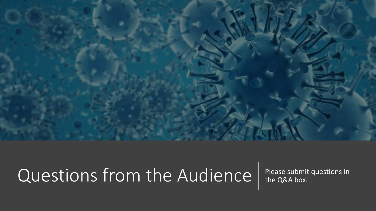

# Questions from the Audience | Please submit questions in

the Q&A box.